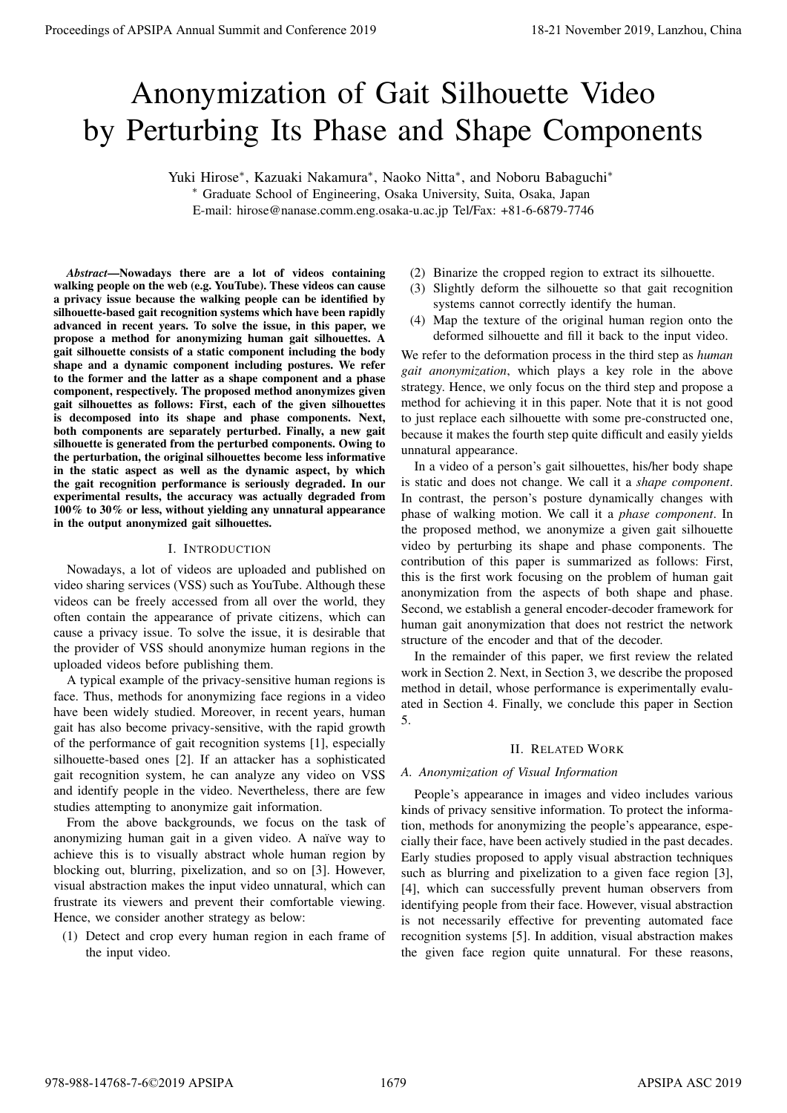# Anonymization of Gait Silhouette Video by Perturbing Its Phase and Shape Components

Yuki Hirose*<sup>∗</sup>* , Kazuaki Nakamura*<sup>∗</sup>* , Naoko Nitta*<sup>∗</sup>* , and Noboru Babaguchi*<sup>∗</sup>*

*<sup>∗</sup>* Graduate School of Engineering, Osaka University, Suita, Osaka, Japan E-mail: hirose@nanase.comm.eng.osaka-u.ac.jp Tel/Fax: +81-6-6879-7746

*Abstract*—Nowadays there are a lot of videos containing walking people on the web (e.g. YouTube). These videos can cause a privacy issue because the walking people can be identified by silhouette-based gait recognition systems which have been rapidly advanced in recent years. To solve the issue, in this paper, we propose a method for anonymizing human gait silhouettes. A gait silhouette consists of a static component including the body shape and a dynamic component including postures. We refer to the former and the latter as a shape component and a phase component, respectively. The proposed method anonymizes given gait silhouettes as follows: First, each of the given silhouettes is decomposed into its shape and phase components. Next, both components are separately perturbed. Finally, a new gait silhouette is generated from the perturbed components. Owing to the perturbation, the original silhouettes become less informative in the static aspect as well as the dynamic aspect, by which the gait recognition performance is seriously degraded. In our experimental results, the accuracy was actually degraded from 100% to 30% or less, without yielding any unnatural appearance in the output anonymized gait silhouettes. **Proceedings of APSIPA Annual Summit and Conference 2019**<br> **Annual Summit and Conference 2019**<br> **Annual Summit and Conference 2019**<br> **Annual Summit and Conference 2019**<br> **Annual Summit and Conference 2019**<br> **Annual Summit** 

## I. INTRODUCTION

Nowadays, a lot of videos are uploaded and published on video sharing services (VSS) such as YouTube. Although these videos can be freely accessed from all over the world, they often contain the appearance of private citizens, which can cause a privacy issue. To solve the issue, it is desirable that the provider of VSS should anonymize human regions in the uploaded videos before publishing them.

A typical example of the privacy-sensitive human regions is face. Thus, methods for anonymizing face regions in a video have been widely studied. Moreover, in recent years, human gait has also become privacy-sensitive, with the rapid growth of the performance of gait recognition systems [1], especially silhouette-based ones [2]. If an attacker has a sophisticated gait recognition system, he can analyze any video on VSS and identify people in the video. Nevertheless, there are few studies attempting to anonymize gait information.

From the above backgrounds, we focus on the task of anonymizing human gait in a given video. A naïve way to achieve this is to visually abstract whole human region by blocking out, blurring, pixelization, and so on [3]. However, visual abstraction makes the input video unnatural, which can frustrate its viewers and prevent their comfortable viewing. Hence, we consider another strategy as below:

(1) Detect and crop every human region in each frame of the input video.

- (2) Binarize the cropped region to extract its silhouette.
- (3) Slightly deform the silhouette so that gait recognition systems cannot correctly identify the human.
- (4) Map the texture of the original human region onto the deformed silhouette and fill it back to the input video.

We refer to the deformation process in the third step as *human gait anonymization*, which plays a key role in the above strategy. Hence, we only focus on the third step and propose a method for achieving it in this paper. Note that it is not good to just replace each silhouette with some pre-constructed one, because it makes the fourth step quite difficult and easily yields unnatural appearance.

In a video of a person's gait silhouettes, his/her body shape is static and does not change. We call it a *shape component*. In contrast, the person's posture dynamically changes with phase of walking motion. We call it a *phase component*. In the proposed method, we anonymize a given gait silhouette video by perturbing its shape and phase components. The contribution of this paper is summarized as follows: First, this is the first work focusing on the problem of human gait anonymization from the aspects of both shape and phase. Second, we establish a general encoder-decoder framework for human gait anonymization that does not restrict the network structure of the encoder and that of the decoder.

In the remainder of this paper, we first review the related work in Section 2. Next, in Section 3, we describe the proposed method in detail, whose performance is experimentally evaluated in Section 4. Finally, we conclude this paper in Section 5.

## II. RELATED WORK

## *A. Anonymization of Visual Information*

People's appearance in images and video includes various kinds of privacy sensitive information. To protect the information, methods for anonymizing the people's appearance, especially their face, have been actively studied in the past decades. Early studies proposed to apply visual abstraction techniques such as blurring and pixelization to a given face region [3], [4], which can successfully prevent human observers from identifying people from their face. However, visual abstraction is not necessarily effective for preventing automated face recognition systems [5]. In addition, visual abstraction makes the given face region quite unnatural. For these reasons,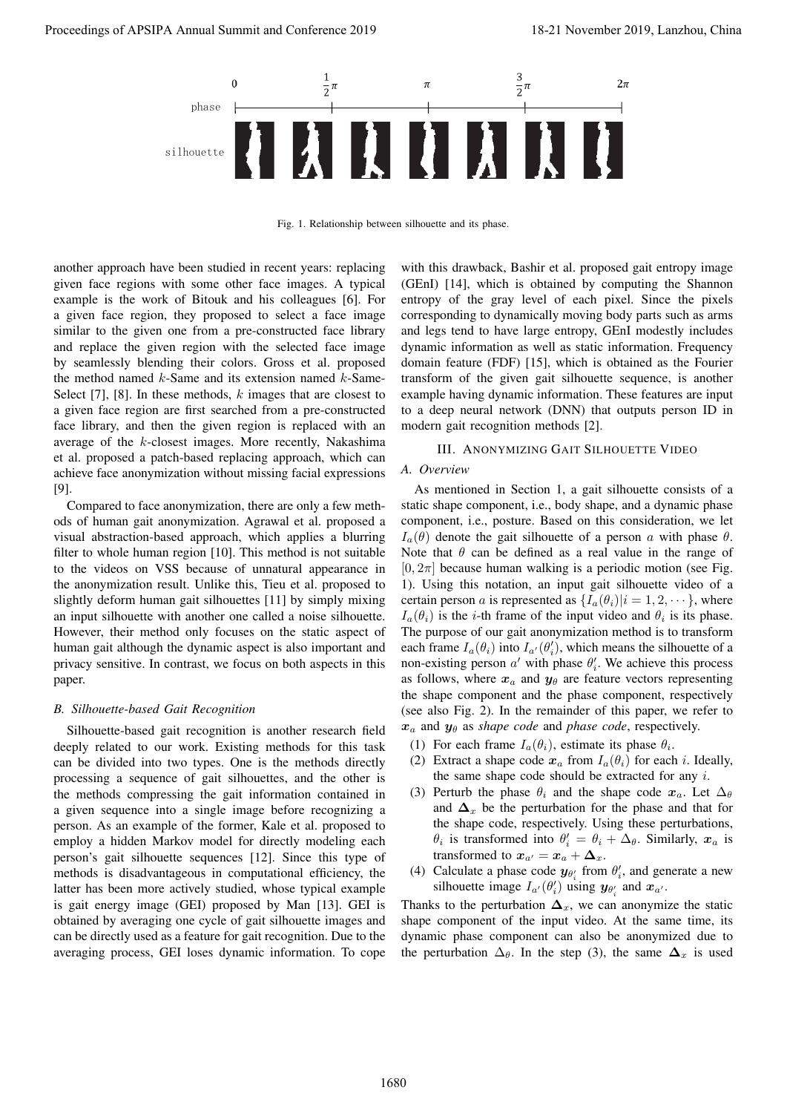

Fig. 1. Relationship between silhouette and its phase.

another approach have been studied in recent years: replacing given face regions with some other face images. A typical example is the work of Bitouk and his colleagues [6]. For a given face region, they proposed to select a face image similar to the given one from a pre-constructed face library and replace the given region with the selected face image by seamlessly blending their colors. Gross et al. proposed the method named *k*-Same and its extension named *k*-Same-Select [7], [8]. In these methods, *k* images that are closest to a given face region are first searched from a pre-constructed face library, and then the given region is replaced with an average of the *k*-closest images. More recently, Nakashima et al. proposed a patch-based replacing approach, which can achieve face anonymization without missing facial expressions [9].

Compared to face anonymization, there are only a few methods of human gait anonymization. Agrawal et al. proposed a visual abstraction-based approach, which applies a blurring filter to whole human region [10]. This method is not suitable to the videos on VSS because of unnatural appearance in the anonymization result. Unlike this, Tieu et al. proposed to slightly deform human gait silhouettes [11] by simply mixing an input silhouette with another one called a noise silhouette. However, their method only focuses on the static aspect of human gait although the dynamic aspect is also important and privacy sensitive. In contrast, we focus on both aspects in this paper.

### *B. Silhouette-based Gait Recognition*

Silhouette-based gait recognition is another research field deeply related to our work. Existing methods for this task can be divided into two types. One is the methods directly processing a sequence of gait silhouettes, and the other is the methods compressing the gait information contained in a given sequence into a single image before recognizing a person. As an example of the former, Kale et al. proposed to employ a hidden Markov model for directly modeling each person's gait silhouette sequences [12]. Since this type of methods is disadvantageous in computational efficiency, the latter has been more actively studied, whose typical example is gait energy image (GEI) proposed by Man [13]. GEI is obtained by averaging one cycle of gait silhouette images and can be directly used as a feature for gait recognition. Due to the averaging process, GEI loses dynamic information. To cope

with this drawback, Bashir et al. proposed gait entropy image (GEnI) [14], which is obtained by computing the Shannon entropy of the gray level of each pixel. Since the pixels corresponding to dynamically moving body parts such as arms and legs tend to have large entropy, GEnI modestly includes dynamic information as well as static information. Frequency domain feature (FDF) [15], which is obtained as the Fourier transform of the given gait silhouette sequence, is another example having dynamic information. These features are input to a deep neural network (DNN) that outputs person ID in modern gait recognition methods [2].

## III. ANONYMIZING GAIT SILHOUETTE VIDEO

## *A. Overview*

As mentioned in Section 1, a gait silhouette consists of a static shape component, i.e., body shape, and a dynamic phase component, i.e., posture. Based on this consideration, we let *I<sub>a</sub>*(*θ*) denote the gait silhouette of a person *a* with phase *θ*. Note that  $\theta$  can be defined as a real value in the range of  $[0, 2\pi]$  because human walking is a periodic motion (see Fig. 1). Using this notation, an input gait silhouette video of a certain person *a* is represented as  $\{I_a(\theta_i)|i=1,2,\dots\}$ , where  $I_a(\theta_i)$  is the *i*-th frame of the input video and  $\theta_i$  is its phase. The purpose of our gait anonymization method is to transform each frame  $I_a(\theta_i)$  into  $I_{a'}(\theta_i')$ , which means the silhouette of a non-existing person  $a'$  with phase  $\theta'_i$ . We achieve this process as follows, where  $x_a$  and  $y_\theta$  are feature vectors representing the shape component and the phase component, respectively (see also Fig. 2). In the remainder of this paper, we refer to *x<sup>a</sup>* and *y<sup>θ</sup>* as *shape code* and *phase code*, respectively. Proceedings of APSIPA Annual Summit and Conference 2019, Lanzhou, China 18-21 November 2019, Lanzhou, China 18-21 November 2019, Lanzhou, China 18-21 November 2019, Lanzhou, China 18-21 November 2019, Lanzhou, China 18-21

- (1) For each frame  $I_a(\theta_i)$ , estimate its phase  $\theta_i$ .
- (2) Extract a shape code  $x_a$  from  $I_a(\theta_i)$  for each *i*. Ideally, the same shape code should be extracted for any *i*.
- (3) Perturb the phase  $\theta_i$  and the shape code  $x_a$ . Let  $\Delta_\theta$ and  $\Delta$ <sub>*x*</sub> be the perturbation for the phase and that for the shape code, respectively. Using these perturbations, *θ*<sup>*i*</sup> is transformed into  $\theta'$ <sup>*i*</sup> =  $\theta$ <sup>*i*</sup> +  $\Delta$ <sup>*θ*</sup>*i*. Similarly, *x<sub><i>a*</sub> is transformed to  $x_{a'} = x_a + \Delta_x$ .
- (4) Calculate a phase code  $y_{\theta_i}$  from  $\theta_i'$ , and generate a new silhouette image  $I_{a'}(\theta'_i)$  using  $y_{\theta'_i}$  and  $x_{a'}$ .

Thanks to the perturbation  $\Delta$ <sub>*x*</sub>, we can anonymize the static shape component of the input video. At the same time, its dynamic phase component can also be anonymized due to the perturbation  $\Delta_{\theta}$ . In the step (3), the same  $\Delta_{x}$  is used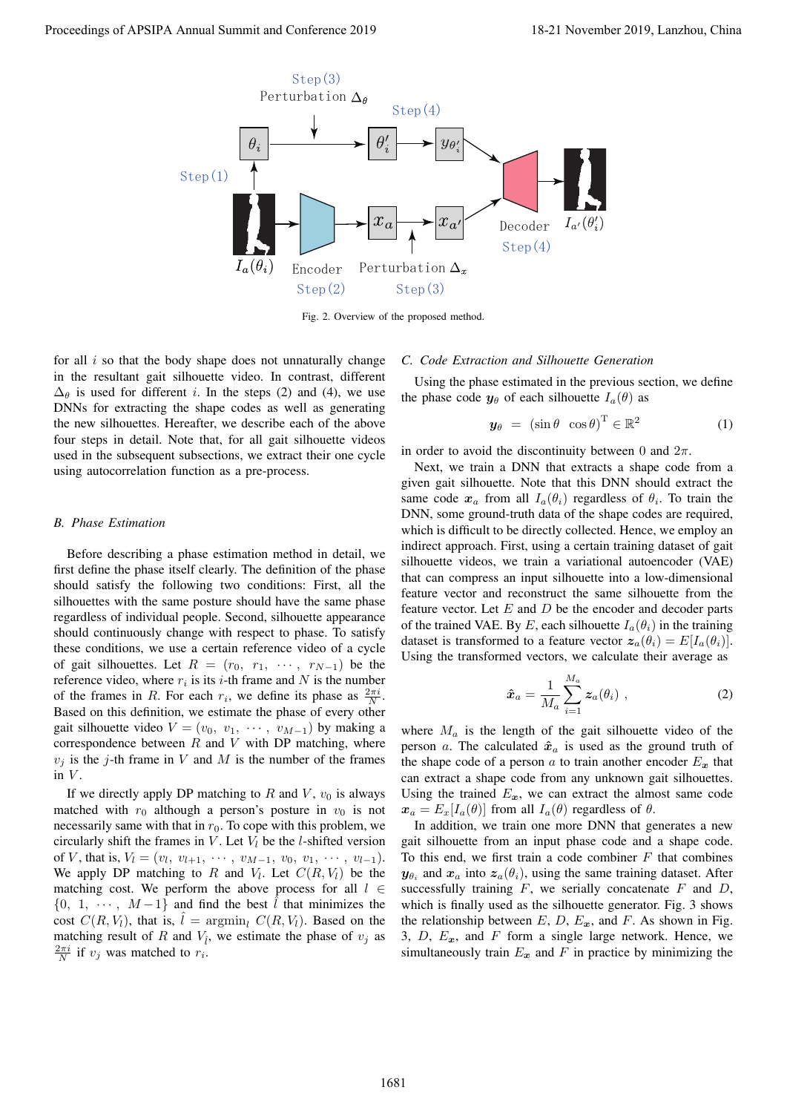

Fig. 2. Overview of the proposed method.

for all *i* so that the body shape does not unnaturally change in the resultant gait silhouette video. In contrast, different  $\Delta_{\theta}$  is used for different *i*. In the steps (2) and (4), we use DNNs for extracting the shape codes as well as generating the new silhouettes. Hereafter, we describe each of the above four steps in detail. Note that, for all gait silhouette videos used in the subsequent subsections, we extract their one cycle using autocorrelation function as a pre-process.

#### *B. Phase Estimation*

Before describing a phase estimation method in detail, we first define the phase itself clearly. The definition of the phase should satisfy the following two conditions: First, all the silhouettes with the same posture should have the same phase regardless of individual people. Second, silhouette appearance should continuously change with respect to phase. To satisfy these conditions, we use a certain reference video of a cycle of gait silhouettes. Let  $R = (r_0, r_1, \cdots, r_{N-1})$  be the reference video, where  $r_i$  is its *i*-th frame and  $N$  is the number of the frames in *R*. For each  $r_i$ , we define its phase as  $\frac{2\pi i}{N}$ . Based on this definition, we estimate the phase of every other gait silhouette video  $V = (v_0, v_1, \cdots, v_{M-1})$  by making a correspondence between *R* and *V* with DP matching, where  $v_i$  is the *j*-th frame in *V* and *M* is the number of the frames in  $V$ .

If we directly apply DP matching to  $R$  and  $V$ ,  $v_0$  is always matched with  $r_0$  although a person's posture in  $v_0$  is not necessarily same with that in  $r_0$ . To cope with this problem, we circularly shift the frames in  $V$ . Let  $V_l$  be the *l*-shifted version of *V*, that is,  $V_l = (v_l, v_{l+1}, \cdots, v_{M-1}, v_0, v_1, \cdots, v_{l-1}).$ We apply DP matching to *R* and  $V_l$ . Let  $C(R, V_l)$  be the matching cost. We perform the above process for all *l ∈*  ${0, 1, \cdots, M-1}$  and find the best  $\hat{l}$  that minimizes the cost  $C(R, V_l)$ , that is,  $l = \arg\min_l C(R, V_l)$ . Based on the matching result of *R* and  $V_i$ , we estimate the phase of  $v_j$  as  $\frac{2\pi i}{N}$  if  $v_j$  was matched to  $r_i$ .

## *C. Code Extraction and Silhouette Generation*

Using the phase estimated in the previous section, we define the phase code  $y_{\theta}$  of each silhouette  $I_a(\theta)$  as

$$
\mathbf{y}_{\theta} = (\sin \theta \ \cos \theta) \ \in \mathbb{R}^2 \tag{1}
$$

in order to avoid the discontinuity between 0 and 2*π*.

Next, we train a DNN that extracts a shape code from a given gait silhouette. Note that this DNN should extract the same code  $x_a$  from all  $I_a(\theta_i)$  regardless of  $\theta_i$ . To train the DNN, some ground-truth data of the shape codes are required, which is difficult to be directly collected. Hence, we employ an indirect approach. First, using a certain training dataset of gait silhouette videos, we train a variational autoencoder (VAE) that can compress an input silhouette into a low-dimensional feature vector and reconstruct the same silhouette from the feature vector. Let *E* and *D* be the encoder and decoder parts of the trained VAE. By *E*, each silhouette  $I_a(\theta_i)$  in the training dataset is transformed to a feature vector  $z_a(\theta_i) = E[I_a(\theta_i)].$ Using the transformed vectors, we calculate their average as

$$
\hat{\boldsymbol{x}}_a = \frac{1}{M_a} \sum_{i=1}^{M_a} \boldsymbol{z}_a(\theta_i) , \qquad (2)
$$

where  $M_a$  is the length of the gait silhouette video of the person *a*. The calculated  $\hat{x}_a$  is used as the ground truth of the shape code of a person *a* to train another encoder  $E_x$  that can extract a shape code from any unknown gait silhouettes. Using the trained  $E_x$ , we can extract the almost same code  $x_a = E_x[I_a(\theta)]$  from all  $I_a(\theta)$  regardless of  $\theta$ .

In addition, we train one more DNN that generates a new gait silhouette from an input phase code and a shape code. To this end, we first train a code combiner *F* that combines  $y_{\theta_i}$  and  $x_a$  into  $z_a(\theta_i)$ , using the same training dataset. After successfully training  $F$ , we serially concatenate  $F$  and  $D$ , which is finally used as the silhouette generator. Fig. 3 shows the relationship between  $E$ ,  $D$ ,  $E_x$ , and  $F$ . As shown in Fig. 3, *D*, *Ex*, and *F* form a single large network. Hence, we simultaneously train  $E_x$  and  $F$  in practice by minimizing the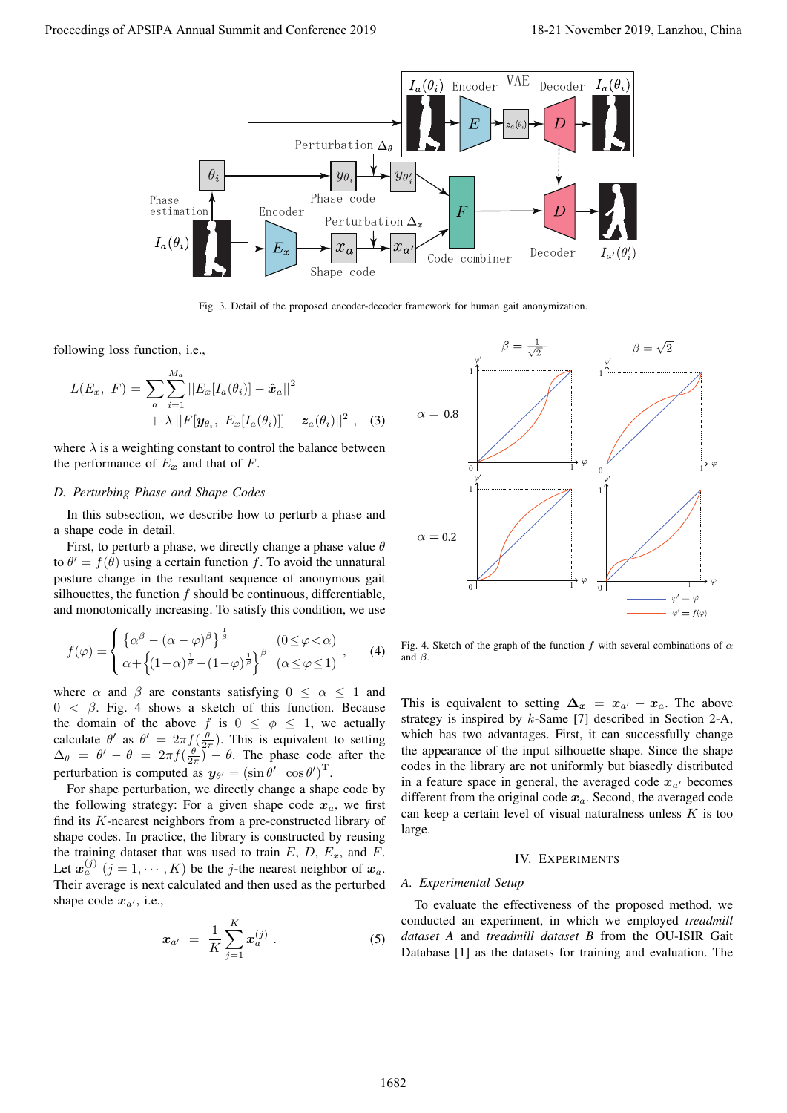

Fig. 3. Detail of the proposed encoder-decoder framework for human gait anonymization.

following loss function, i.e.,

$$
L(E_x, F) = \sum_{a} \sum_{i=1}^{M_a} ||E_x[I_a(\theta_i)] - \hat{x}_a||^2
$$
  
+  $\lambda ||F[\mathbf{y}_{\theta_i}, E_x[I_a(\theta_i)]] - \mathbf{z}_a(\theta_i)||^2$ , (3)

where  $\lambda$  is a weighting constant to control the balance between the performance of  $E_x$  and that of  $F$ .

## *D. Perturbing Phase and Shape Codes*

In this subsection, we describe how to perturb a phase and a shape code in detail.

First, to perturb a phase, we directly change a phase value *θ* to  $\theta' = f(\theta)$  using a certain function f. To avoid the unnatural posture change in the resultant sequence of anonymous gait silhouettes, the function *f* should be continuous, differentiable, and monotonically increasing. To satisfy this condition, we use

$$
f(\varphi) = \begin{cases} \left\{ \alpha^{\beta} - (\alpha - \varphi)^{\beta} \right\}^{\frac{1}{\beta}} & (0 \le \varphi < \alpha) \\ \alpha + \left\{ (1 - \alpha)^{\frac{1}{\beta}} - (1 - \varphi)^{\frac{1}{\beta}} \right\}^{\beta} & (\alpha \le \varphi \le 1) \end{cases}, \quad (4)
$$

where  $\alpha$  and  $\beta$  are constants satisfying  $0 \leq \alpha \leq 1$  and 0 *< β*. Fig. 4 shows a sketch of this function. Because the domain of the above *f* is  $0 \leq \phi \leq 1$ , we actually calculate  $\theta'$  as  $\theta' = 2\pi f \left( \frac{\theta}{2\pi} \right)$ . This is equivalent to setting  $\Delta_{\theta} = \theta' - \theta = 2\pi f \left( \frac{\theta}{2\pi} \right)^{n} - \theta$ . The phase code after the perturbation is computed as  $y_{\theta'} = (\sin \theta' \cos \theta')$ .

For shape perturbation, we directly change a shape code by the following strategy: For a given shape code  $x_a$ , we first find its *K*-nearest neighbors from a pre-constructed library of shape codes. In practice, the library is constructed by reusing the training dataset that was used to train  $E$ ,  $D$ ,  $E_x$ , and  $F$ . Let  $x_a^{(j)}$   $(j = 1, \dots, K)$  be the *j*-the nearest neighbor of  $x_a$ . Their average is next calculated and then used as the perturbed shape code  $x_{a'}$ , i.e.,

$$
x_{a'} = \frac{1}{K} \sum_{j=1}^{K} x_a^{(j)} \,. \tag{5}
$$



Fig. 4. Sketch of the graph of the function *f* with several combinations of  $\alpha$ and *β*.

This is equivalent to setting  $\Delta_x = x_{a'} - x_a$ . The above strategy is inspired by *k*-Same [7] described in Section 2-A, which has two advantages. First, it can successfully change the appearance of the input silhouette shape. Since the shape codes in the library are not uniformly but biasedly distributed in a feature space in general, the averaged code  $x_{a}$ <sup>*'*</sup> becomes different from the original code  $x_a$ . Second, the averaged code can keep a certain level of visual naturalness unless *K* is too large.

#### IV. EXPERIMENTS

## *A. Experimental Setup*

To evaluate the effectiveness of the proposed method, we conducted an experiment, in which we employed *treadmill dataset A* and *treadmill dataset B* from the OU-ISIR Gait Database [1] as the datasets for training and evaluation. The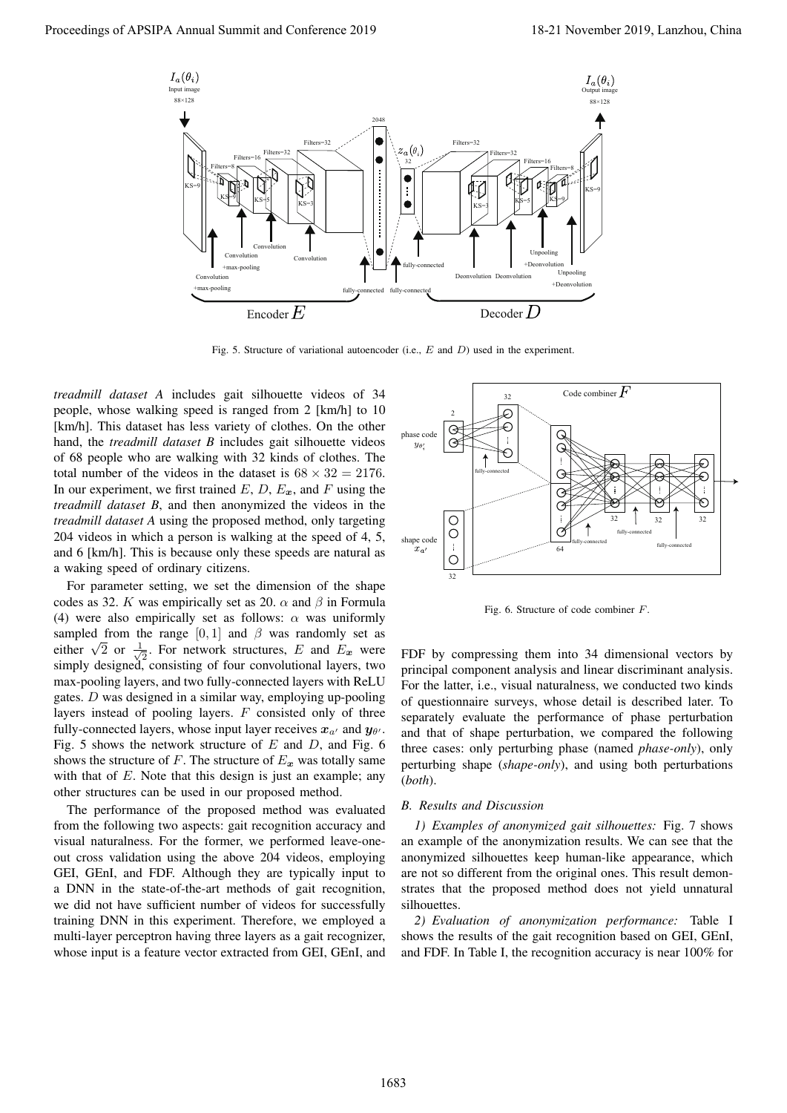

Fig. 5. Structure of variational autoencoder (i.e., *E* and *D*) used in the experiment.

*treadmill dataset A* includes gait silhouette videos of 34 people, whose walking speed is ranged from 2 [km/h] to 10 [km/h]. This dataset has less variety of clothes. On the other hand, the *treadmill dataset B* includes gait silhouette videos of 68 people who are walking with 32 kinds of clothes. The total number of the videos in the dataset is  $68 \times 32 = 2176$ . In our experiment, we first trained  $E$ ,  $D$ ,  $E_x$ , and  $F$  using the *treadmill dataset B*, and then anonymized the videos in the *treadmill dataset A* using the proposed method, only targeting 204 videos in which a person is walking at the speed of 4, 5, and 6 [km/h]. This is because only these speeds are natural as a waking speed of ordinary citizens.

For parameter setting, we set the dimension of the shape codes as 32. *K* was empirically set as 20.  $\alpha$  and  $\beta$  in Formula (4) were also empirically set as follows: *α* was uniformly sampled from the range  $[0, 1]$  and  $\beta$  was randomly set as either  $\sqrt{2}$  or  $\frac{1}{\sqrt{2}}$  $\overline{z}$ . For network structures, *E* and *E*<sub>*x*</sub> were simply designed, consisting of four convolutional layers, two max-pooling layers, and two fully-connected layers with ReLU gates. *D* was designed in a similar way, employing up-pooling layers instead of pooling layers. *F* consisted only of three fully-connected layers, whose input layer receives  $x_{a'}$  and  $y_{\theta'}$ . Fig. 5 shows the network structure of *E* and *D*, and Fig. 6 shows the structure of *F*. The structure of  $E_x$  was totally same with that of *E*. Note that this design is just an example; any other structures can be used in our proposed method.

The performance of the proposed method was evaluated from the following two aspects: gait recognition accuracy and visual naturalness. For the former, we performed leave-oneout cross validation using the above 204 videos, employing GEI, GEnI, and FDF. Although they are typically input to a DNN in the state-of-the-art methods of gait recognition, we did not have sufficient number of videos for successfully training DNN in this experiment. Therefore, we employed a multi-layer perceptron having three layers as a gait recognizer, whose input is a feature vector extracted from GEI, GEnI, and



Fig. 6. Structure of code combiner *F*.

FDF by compressing them into 34 dimensional vectors by principal component analysis and linear discriminant analysis. For the latter, i.e., visual naturalness, we conducted two kinds of questionnaire surveys, whose detail is described later. To separately evaluate the performance of phase perturbation and that of shape perturbation, we compared the following three cases: only perturbing phase (named *phase-only*), only perturbing shape (*shape-only*), and using both perturbations (*both*).

## *B. Results and Discussion*

*1) Examples of anonymized gait silhouettes:* Fig. 7 shows an example of the anonymization results. We can see that the anonymized silhouettes keep human-like appearance, which are not so different from the original ones. This result demonstrates that the proposed method does not yield unnatural silhouettes.

*2) Evaluation of anonymization performance:* Table I shows the results of the gait recognition based on GEI, GEnI, and FDF. In Table I, the recognition accuracy is near 100% for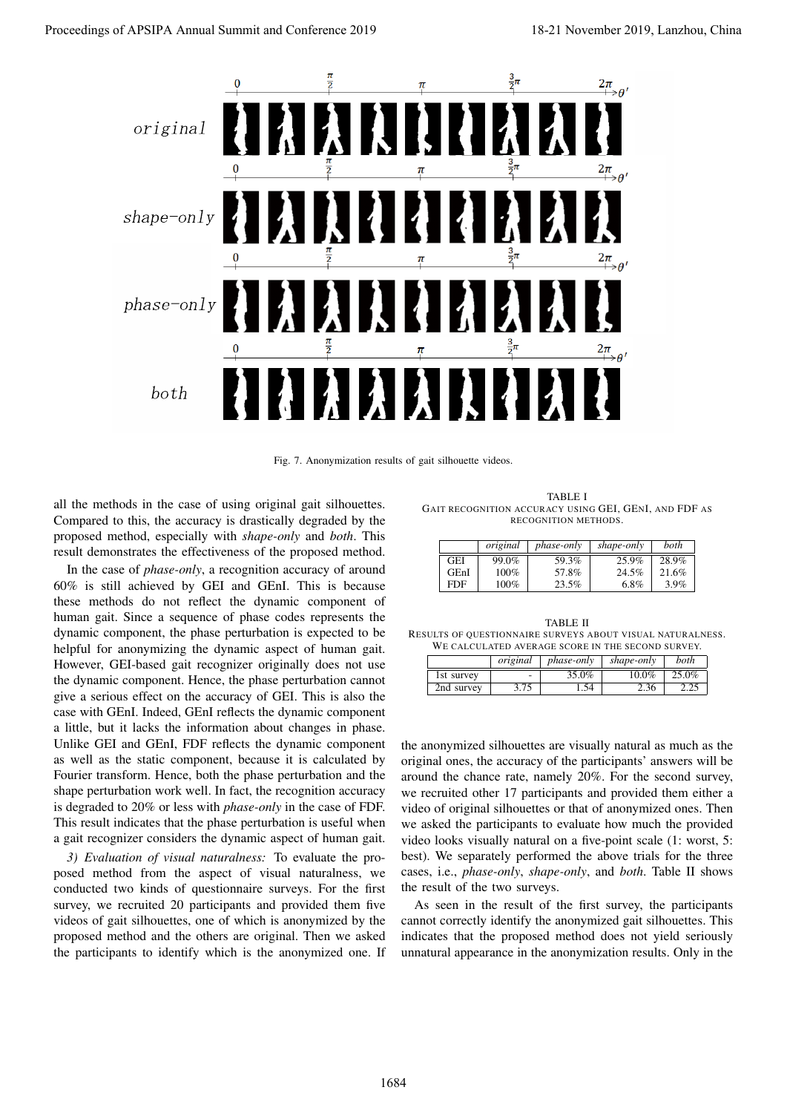

Fig. 7. Anonymization results of gait silhouette videos.

all the methods in the case of using original gait silhouettes. Compared to this, the accuracy is drastically degraded by the proposed method, especially with *shape-only* and *both*. This result demonstrates the effectiveness of the proposed method.

In the case of *phase-only*, a recognition accuracy of around 60% is still achieved by GEI and GEnI. This is because these methods do not reflect the dynamic component of human gait. Since a sequence of phase codes represents the dynamic component, the phase perturbation is expected to be helpful for anonymizing the dynamic aspect of human gait. However, GEI-based gait recognizer originally does not use the dynamic component. Hence, the phase perturbation cannot give a serious effect on the accuracy of GEI. This is also the case with GEnI. Indeed, GEnI reflects the dynamic component a little, but it lacks the information about changes in phase. Unlike GEI and GEnI, FDF reflects the dynamic component as well as the static component, because it is calculated by Fourier transform. Hence, both the phase perturbation and the shape perturbation work well. In fact, the recognition accuracy is degraded to 20% or less with *phase-only* in the case of FDF. This result indicates that the phase perturbation is useful when a gait recognizer considers the dynamic aspect of human gait.

*3) Evaluation of visual naturalness:* To evaluate the proposed method from the aspect of visual naturalness, we conducted two kinds of questionnaire surveys. For the first survey, we recruited 20 participants and provided them five videos of gait silhouettes, one of which is anonymized by the proposed method and the others are original. Then we asked the participants to identify which is the anonymized one. If

TABLE I GAIT RECOGNITION ACCURACY USING GEI, GENI, AND FDF AS RECOGNITION METHODS.

|      | original | <i>phase-only</i> | shape-only | both  |
|------|----------|-------------------|------------|-------|
| GEI  | 99.0%    | 59.3%             | 25.9%      | 28.9% |
| GEnI | 100%     | 57.8%             | 24.5%      | 21.6% |
| FDF  | 100%     | 23.5%             | 6.8%       | 3.9%  |

TABLE II RESULTS OF QUESTIONNAIRE SURVEYS ABOUT VISUAL NATURALNESS. WE CALCULATED AVERAGE SCORE IN THE SECOND SURVEY.

|            | original                 | <i>phase-only</i> | shape-only | both  |
|------------|--------------------------|-------------------|------------|-------|
| 1st survey | $\overline{\phantom{a}}$ | 35.0%             | $10.0\%$   | 25.0% |
| 2nd survey | 3.75                     | 1.54              | 2.36       | 2.25  |

the anonymized silhouettes are visually natural as much as the original ones, the accuracy of the participants' answers will be around the chance rate, namely 20%. For the second survey, we recruited other 17 participants and provided them either a video of original silhouettes or that of anonymized ones. Then we asked the participants to evaluate how much the provided video looks visually natural on a five-point scale (1: worst, 5: best). We separately performed the above trials for the three cases, i.e., *phase-only*, *shape-only*, and *both*. Table II shows the result of the two surveys.

As seen in the result of the first survey, the participants cannot correctly identify the anonymized gait silhouettes. This indicates that the proposed method does not yield seriously unnatural appearance in the anonymization results. Only in the